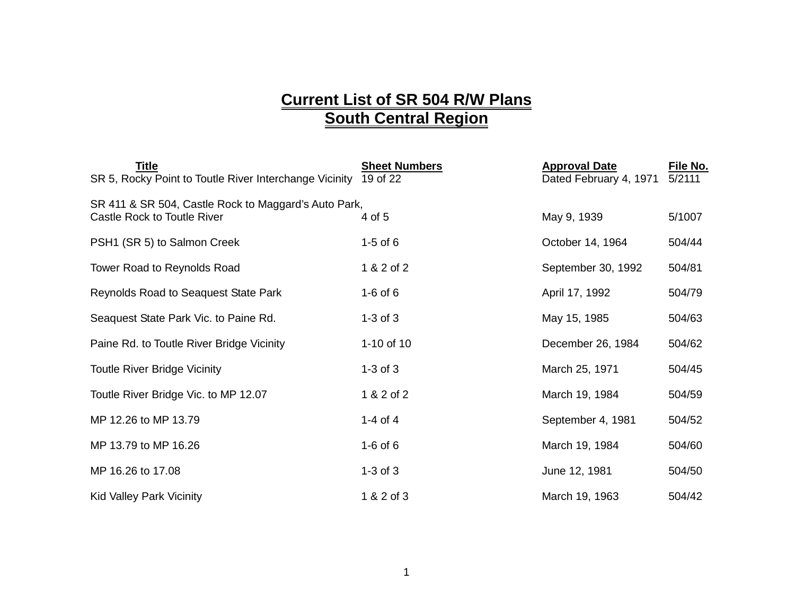## **Current List of SR 504 R/W Plans South Central Region**

| Title<br>SR 5, Rocky Point to Toutle River Interchange Vicinity                     | <b>Sheet Numbers</b><br>19 of 22 | <b>Approval Date</b><br>Dated February 4, 1971 | File No.<br>5/2111 |
|-------------------------------------------------------------------------------------|----------------------------------|------------------------------------------------|--------------------|
| SR 411 & SR 504, Castle Rock to Maggard's Auto Park,<br>Castle Rock to Toutle River | 4 of 5                           | May 9, 1939                                    | 5/1007             |
| PSH1 (SR 5) to Salmon Creek                                                         | $1-5$ of $6$                     | October 14, 1964                               | 504/44             |
| Tower Road to Reynolds Road                                                         | 1 & 2 of 2                       | September 30, 1992                             | 504/81             |
| Reynolds Road to Seaquest State Park                                                | $1-6$ of $6$                     | April 17, 1992                                 | 504/79             |
| Seaquest State Park Vic. to Paine Rd.                                               | $1-3$ of $3$                     | May 15, 1985                                   | 504/63             |
| Paine Rd. to Toutle River Bridge Vicinity                                           | 1-10 of 10                       | December 26, 1984                              | 504/62             |
| <b>Toutle River Bridge Vicinity</b>                                                 | $1-3$ of $3$                     | March 25, 1971                                 | 504/45             |
| Toutle River Bridge Vic. to MP 12.07                                                | 1 & 2 of 2                       | March 19, 1984                                 | 504/59             |
| MP 12.26 to MP 13.79                                                                | 1-4 of 4                         | September 4, 1981                              | 504/52             |
| MP 13.79 to MP 16.26                                                                | $1-6$ of $6$                     | March 19, 1984                                 | 504/60             |
| MP 16.26 to 17.08                                                                   | $1-3$ of $3$                     | June 12, 1981                                  | 504/50             |
| <b>Kid Valley Park Vicinity</b>                                                     | 1 & 2 of 3                       | March 19, 1963                                 | 504/42             |